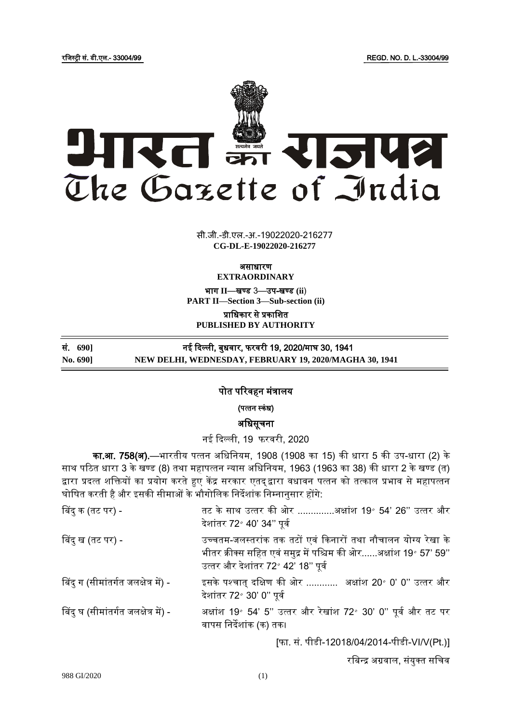रजिस्ट्री सं. डी.एल.- 33004/99 REGD. NO. D. L.-33004/99



सी.जी.-डी.एल.-अ.-19022020-216277 **xxxGIDExxx CG-DL-E-19022020-216277**

असाधारण

**EXTRAORDINARY**

भाग II-खण्ड 3-उप-खण्ड (ii)

**PART II—Section 3—Sub-section (ii)**

प्राजधकार से प्रकाजित **PUBLISHED BY AUTHORITY**

सं. **690]** नई ददल्ली, बाधवार, फरवरी 19, 2020/माघ 30, 1941 **No. 690] NEW DELHI, WEDNESDAY, FEBRUARY 19, 2020/MAGHA 30, 1941** 

ī

## पोत पररवहन मंत्रालय

(पत्तन स्कंध)

अजधसूचना

नई दिल्ली, 19 फरवरी, 2020

का.<mark>आ. 758(अ).</mark>—भारतीय पत्तन अधिनियम, 1908 (1908 का 15) की धारा 5 की उप-धारा (2) के साथ पठित धारा 3 के खण्ड (8) तथा महापत्तन न्यास अधिनियम, 1963 (1963 का 38) की धारा 2 के खण्ड (त) द्वारा प्रदत्त शक्तियों का प्रयोग करते हुए केंद्र सरकार एतद्द्वारा वधावन पत्तन को तत्काल प्रभाव से महापत्तन घोषित करती है और इसकी सीमाओं के भौगोलिक निर्देशांक निम्नानुसार होंगे:

| बिंदु क (तट पर) -                    | तट के साथ उत्तर की ओर अक्षांश 19॰ 54' 26'' उत्तर और<br>देशांतर 72° 40' 34" पूर्व                                                                                         |
|--------------------------------------|--------------------------------------------------------------------------------------------------------------------------------------------------------------------------|
| बिंदु ख (तट पर) -                    | उच्चतम-जलस्तरांक तक तटों एवं किनारों तथा नौचालन योग्य रेखा के<br>भीतर क्रीक्स सहित एवं समुद्र में पश्चिम की ओरअक्षांश 19° 57' 59''<br>उत्तर और देशांतर 72° 42' 18" पूर्व |
| बिंदु ग (सीमांतर्गत जलक्षेत्र में) - | इसके पश्चात् दक्षिण की ओर  अक्षांश 20° 0' 0'' उत्तर और<br>देशांतर 72° 30' 0" पूर्व                                                                                       |
| बिंदु घ (सीमांतर्गत जलक्षेत्र में) - | अक्षांश 19° 54' 5" उत्तर और रेखांश 72° 30' 0" पूर्व और तट पर<br>वापस निर्देशांक (क) तक।                                                                                  |
|                                      | [फा. सं. पीडी-12018/04/2014-पीडी-VI/V(Pt.)]                                                                                                                              |

रबिन्द्र अग्रवाल, संयुक्त सचिव